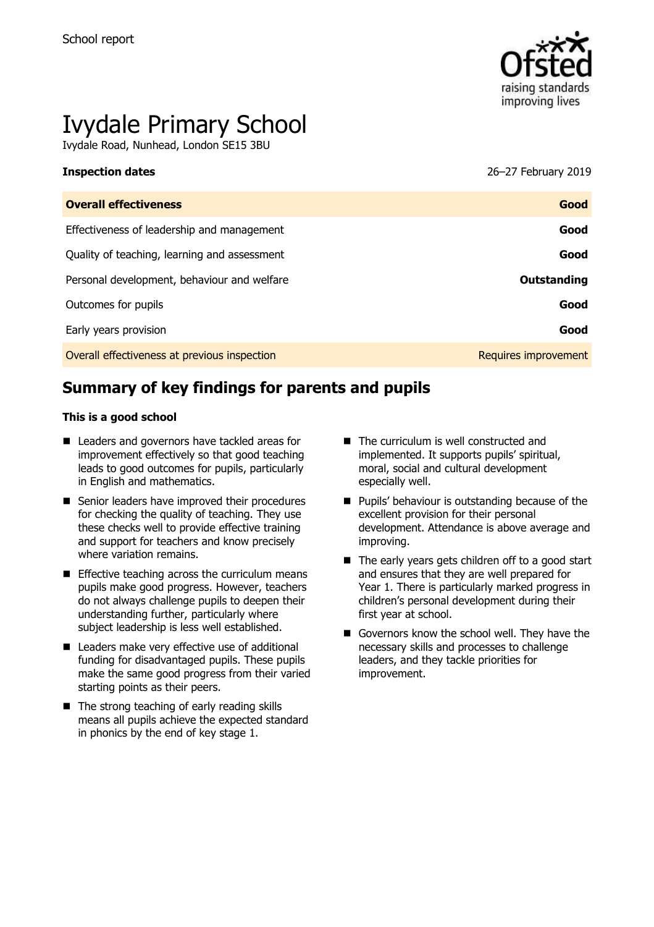

# Ivydale Primary School

Ivydale Road, Nunhead, London SE15 3BU

**Inspection dates** 26–27 February 2019

| Good                 |
|----------------------|
| Good                 |
| Good                 |
| Outstanding          |
| Good                 |
| Good                 |
| Requires improvement |
|                      |

# **Summary of key findings for parents and pupils**

#### **This is a good school**

- Leaders and governors have tackled areas for improvement effectively so that good teaching leads to good outcomes for pupils, particularly in English and mathematics.
- Senior leaders have improved their procedures for checking the quality of teaching. They use these checks well to provide effective training and support for teachers and know precisely where variation remains.
- $\blacksquare$  Effective teaching across the curriculum means pupils make good progress. However, teachers do not always challenge pupils to deepen their understanding further, particularly where subject leadership is less well established.
- Leaders make very effective use of additional funding for disadvantaged pupils. These pupils make the same good progress from their varied starting points as their peers.
- $\blacksquare$  The strong teaching of early reading skills means all pupils achieve the expected standard in phonics by the end of key stage 1.
- The curriculum is well constructed and implemented. It supports pupils' spiritual, moral, social and cultural development especially well.
- **Pupils' behaviour is outstanding because of the** excellent provision for their personal development. Attendance is above average and improving.
- $\blacksquare$  The early years gets children off to a good start and ensures that they are well prepared for Year 1. There is particularly marked progress in children's personal development during their first year at school.
- Governors know the school well. They have the necessary skills and processes to challenge leaders, and they tackle priorities for improvement.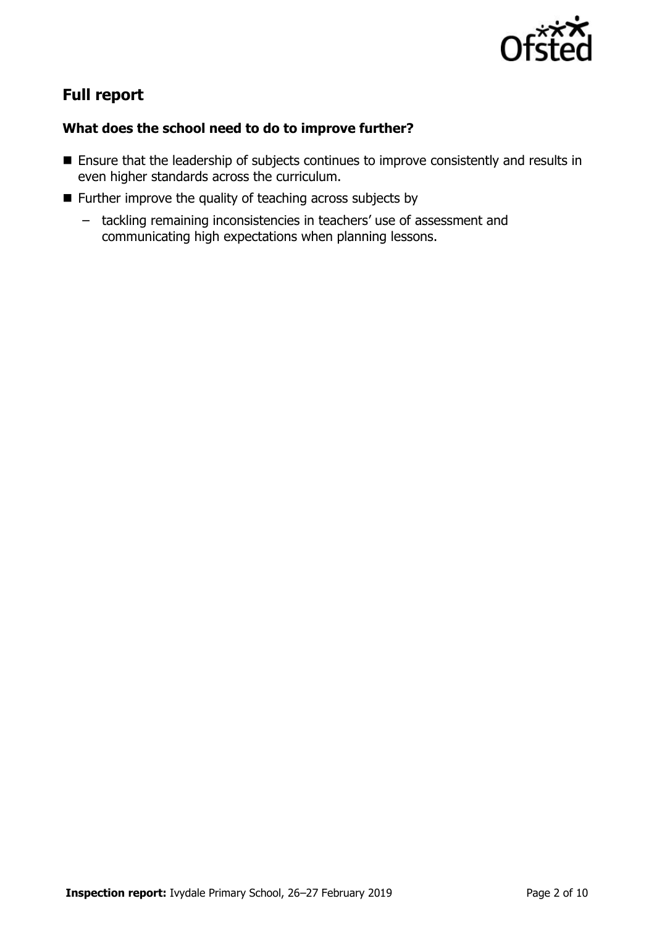

# **Full report**

### **What does the school need to do to improve further?**

- **Ensure that the leadership of subjects continues to improve consistently and results in** even higher standards across the curriculum.
- $\blacksquare$  Further improve the quality of teaching across subjects by
	- tackling remaining inconsistencies in teachers' use of assessment and communicating high expectations when planning lessons.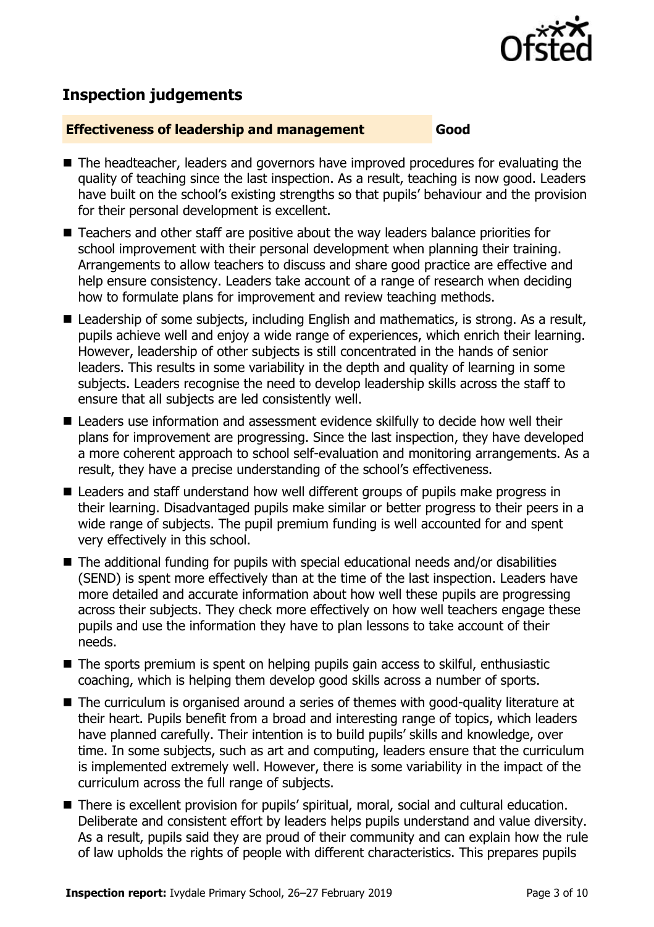

# **Inspection judgements**

#### **Effectiveness of leadership and management Good**

- The headteacher, leaders and governors have improved procedures for evaluating the quality of teaching since the last inspection. As a result, teaching is now good. Leaders have built on the school's existing strengths so that pupils' behaviour and the provision for their personal development is excellent.
- Teachers and other staff are positive about the way leaders balance priorities for school improvement with their personal development when planning their training. Arrangements to allow teachers to discuss and share good practice are effective and help ensure consistency. Leaders take account of a range of research when deciding how to formulate plans for improvement and review teaching methods.
- Leadership of some subjects, including English and mathematics, is strong. As a result, pupils achieve well and enjoy a wide range of experiences, which enrich their learning. However, leadership of other subjects is still concentrated in the hands of senior leaders. This results in some variability in the depth and quality of learning in some subjects. Leaders recognise the need to develop leadership skills across the staff to ensure that all subjects are led consistently well.
- Leaders use information and assessment evidence skilfully to decide how well their plans for improvement are progressing. Since the last inspection, they have developed a more coherent approach to school self-evaluation and monitoring arrangements. As a result, they have a precise understanding of the school's effectiveness.
- Leaders and staff understand how well different groups of pupils make progress in their learning. Disadvantaged pupils make similar or better progress to their peers in a wide range of subjects. The pupil premium funding is well accounted for and spent very effectively in this school.
- The additional funding for pupils with special educational needs and/or disabilities (SEND) is spent more effectively than at the time of the last inspection. Leaders have more detailed and accurate information about how well these pupils are progressing across their subjects. They check more effectively on how well teachers engage these pupils and use the information they have to plan lessons to take account of their needs.
- The sports premium is spent on helping pupils gain access to skilful, enthusiastic coaching, which is helping them develop good skills across a number of sports.
- The curriculum is organised around a series of themes with good-quality literature at their heart. Pupils benefit from a broad and interesting range of topics, which leaders have planned carefully. Their intention is to build pupils' skills and knowledge, over time. In some subjects, such as art and computing, leaders ensure that the curriculum is implemented extremely well. However, there is some variability in the impact of the curriculum across the full range of subjects.
- There is excellent provision for pupils' spiritual, moral, social and cultural education. Deliberate and consistent effort by leaders helps pupils understand and value diversity. As a result, pupils said they are proud of their community and can explain how the rule of law upholds the rights of people with different characteristics. This prepares pupils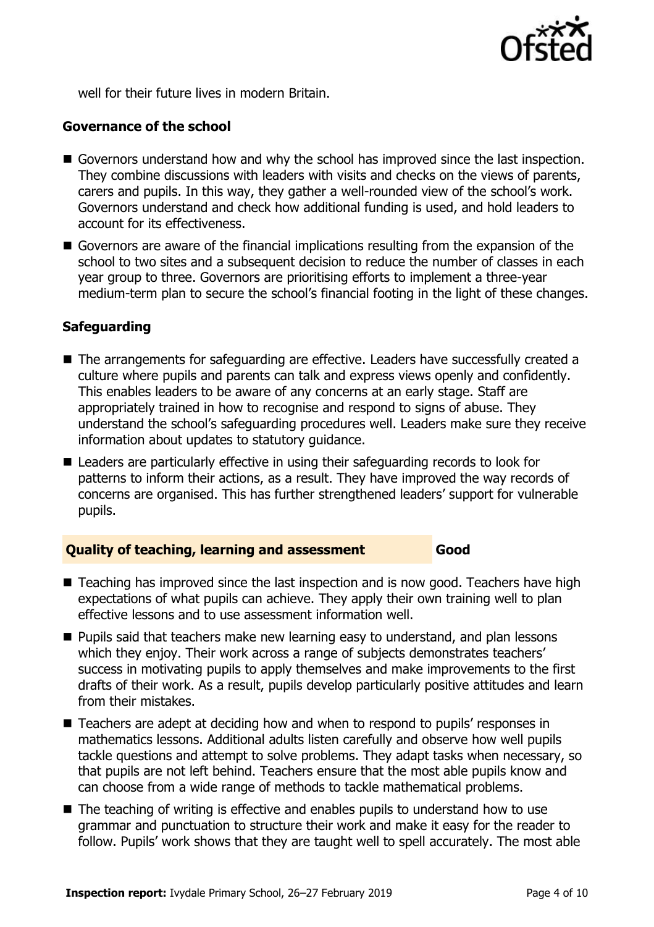

well for their future lives in modern Britain.

#### **Governance of the school**

- Governors understand how and why the school has improved since the last inspection. They combine discussions with leaders with visits and checks on the views of parents, carers and pupils. In this way, they gather a well-rounded view of the school's work. Governors understand and check how additional funding is used, and hold leaders to account for its effectiveness.
- Governors are aware of the financial implications resulting from the expansion of the school to two sites and a subsequent decision to reduce the number of classes in each year group to three. Governors are prioritising efforts to implement a three-year medium-term plan to secure the school's financial footing in the light of these changes.

#### **Safeguarding**

- The arrangements for safeguarding are effective. Leaders have successfully created a culture where pupils and parents can talk and express views openly and confidently. This enables leaders to be aware of any concerns at an early stage. Staff are appropriately trained in how to recognise and respond to signs of abuse. They understand the school's safeguarding procedures well. Leaders make sure they receive information about updates to statutory guidance.
- Leaders are particularly effective in using their safeguarding records to look for patterns to inform their actions, as a result. They have improved the way records of concerns are organised. This has further strengthened leaders' support for vulnerable pupils.

#### **Quality of teaching, learning and assessment Good**

- Teaching has improved since the last inspection and is now good. Teachers have high expectations of what pupils can achieve. They apply their own training well to plan effective lessons and to use assessment information well.
- **Pupils said that teachers make new learning easy to understand, and plan lessons** which they enjoy. Their work across a range of subjects demonstrates teachers' success in motivating pupils to apply themselves and make improvements to the first drafts of their work. As a result, pupils develop particularly positive attitudes and learn from their mistakes.
- Teachers are adept at deciding how and when to respond to pupils' responses in mathematics lessons. Additional adults listen carefully and observe how well pupils tackle questions and attempt to solve problems. They adapt tasks when necessary, so that pupils are not left behind. Teachers ensure that the most able pupils know and can choose from a wide range of methods to tackle mathematical problems.
- The teaching of writing is effective and enables pupils to understand how to use grammar and punctuation to structure their work and make it easy for the reader to follow. Pupils' work shows that they are taught well to spell accurately. The most able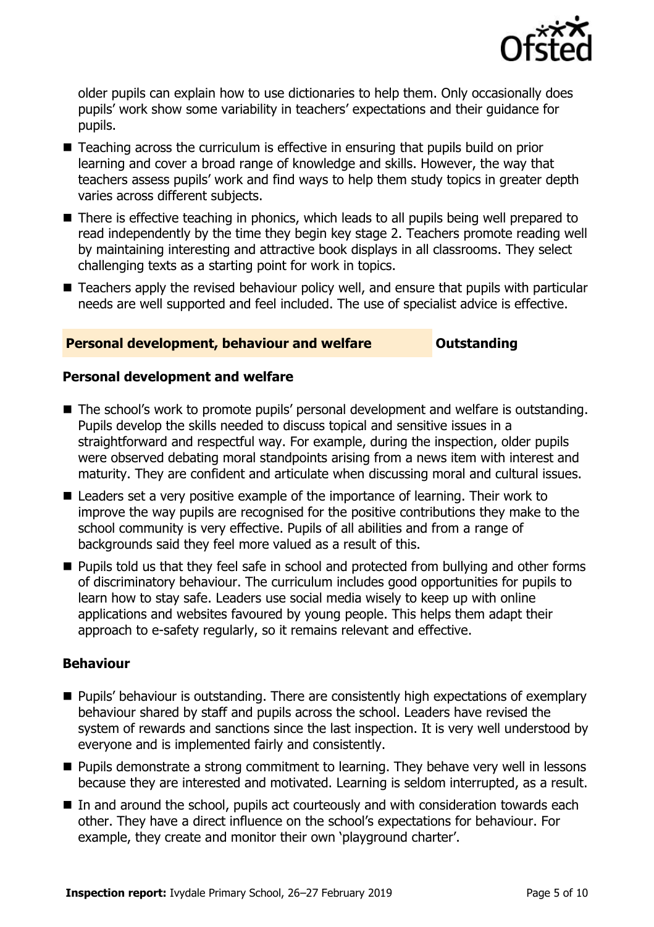

older pupils can explain how to use dictionaries to help them. Only occasionally does pupils' work show some variability in teachers' expectations and their guidance for pupils.

- Teaching across the curriculum is effective in ensuring that pupils build on prior learning and cover a broad range of knowledge and skills. However, the way that teachers assess pupils' work and find ways to help them study topics in greater depth varies across different subjects.
- There is effective teaching in phonics, which leads to all pupils being well prepared to read independently by the time they begin key stage 2. Teachers promote reading well by maintaining interesting and attractive book displays in all classrooms. They select challenging texts as a starting point for work in topics.
- Teachers apply the revised behaviour policy well, and ensure that pupils with particular needs are well supported and feel included. The use of specialist advice is effective.

#### **Personal development, behaviour and welfare <b>COUNGITY COULDER** Dutstanding

#### **Personal development and welfare**

- The school's work to promote pupils' personal development and welfare is outstanding. Pupils develop the skills needed to discuss topical and sensitive issues in a straightforward and respectful way. For example, during the inspection, older pupils were observed debating moral standpoints arising from a news item with interest and maturity. They are confident and articulate when discussing moral and cultural issues.
- Leaders set a very positive example of the importance of learning. Their work to improve the way pupils are recognised for the positive contributions they make to the school community is very effective. Pupils of all abilities and from a range of backgrounds said they feel more valued as a result of this.
- **Pupils told us that they feel safe in school and protected from bullying and other forms** of discriminatory behaviour. The curriculum includes good opportunities for pupils to learn how to stay safe. Leaders use social media wisely to keep up with online applications and websites favoured by young people. This helps them adapt their approach to e-safety regularly, so it remains relevant and effective.

#### **Behaviour**

- **Pupils' behaviour is outstanding. There are consistently high expectations of exemplary** behaviour shared by staff and pupils across the school. Leaders have revised the system of rewards and sanctions since the last inspection. It is very well understood by everyone and is implemented fairly and consistently.
- **Pupils demonstrate a strong commitment to learning. They behave very well in lessons** because they are interested and motivated. Learning is seldom interrupted, as a result.
- In and around the school, pupils act courteously and with consideration towards each other. They have a direct influence on the school's expectations for behaviour. For example, they create and monitor their own 'playground charter'.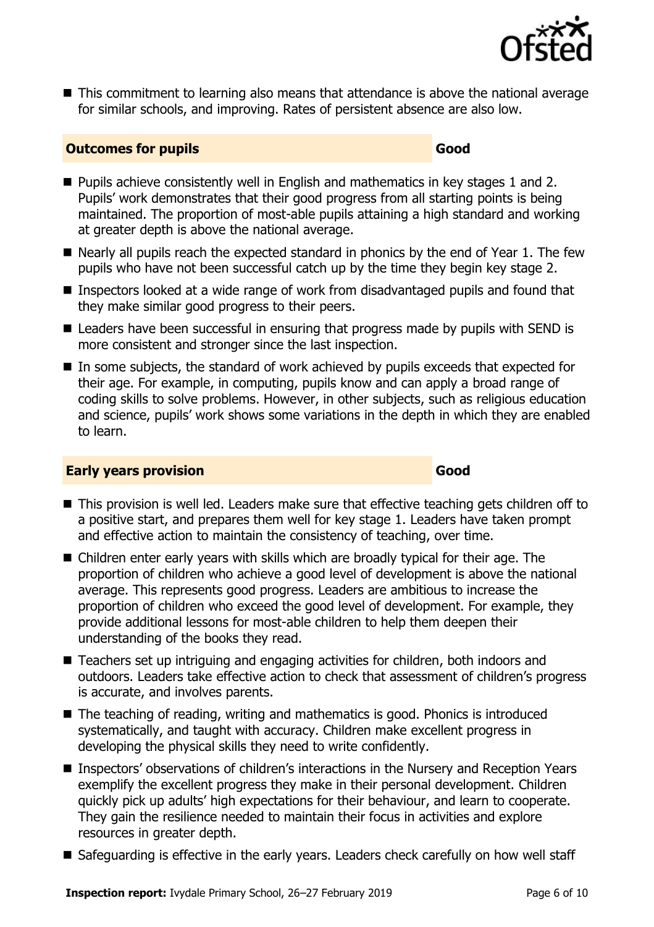

 $\blacksquare$  This commitment to learning also means that attendance is above the national average for similar schools, and improving. Rates of persistent absence are also low.

#### **Outcomes for pupils Good**

- Pupils achieve consistently well in English and mathematics in key stages 1 and 2. Pupils' work demonstrates that their good progress from all starting points is being maintained. The proportion of most-able pupils attaining a high standard and working at greater depth is above the national average.
- $\blacksquare$  Nearly all pupils reach the expected standard in phonics by the end of Year 1. The few pupils who have not been successful catch up by the time they begin key stage 2.
- Inspectors looked at a wide range of work from disadvantaged pupils and found that they make similar good progress to their peers.
- Leaders have been successful in ensuring that progress made by pupils with SEND is more consistent and stronger since the last inspection.
- In some subjects, the standard of work achieved by pupils exceeds that expected for their age. For example, in computing, pupils know and can apply a broad range of coding skills to solve problems. However, in other subjects, such as religious education and science, pupils' work shows some variations in the depth in which they are enabled to learn.

#### **Early years provision Good Good**

- This provision is well led. Leaders make sure that effective teaching gets children off to a positive start, and prepares them well for key stage 1. Leaders have taken prompt and effective action to maintain the consistency of teaching, over time.
- Children enter early years with skills which are broadly typical for their age. The proportion of children who achieve a good level of development is above the national average. This represents good progress. Leaders are ambitious to increase the proportion of children who exceed the good level of development. For example, they provide additional lessons for most-able children to help them deepen their understanding of the books they read.
- Teachers set up intriguing and engaging activities for children, both indoors and outdoors. Leaders take effective action to check that assessment of children's progress is accurate, and involves parents.
- The teaching of reading, writing and mathematics is good. Phonics is introduced systematically, and taught with accuracy. Children make excellent progress in developing the physical skills they need to write confidently.
- Inspectors' observations of children's interactions in the Nursery and Reception Years exemplify the excellent progress they make in their personal development. Children quickly pick up adults' high expectations for their behaviour, and learn to cooperate. They gain the resilience needed to maintain their focus in activities and explore resources in greater depth.
- Safeguarding is effective in the early years. Leaders check carefully on how well staff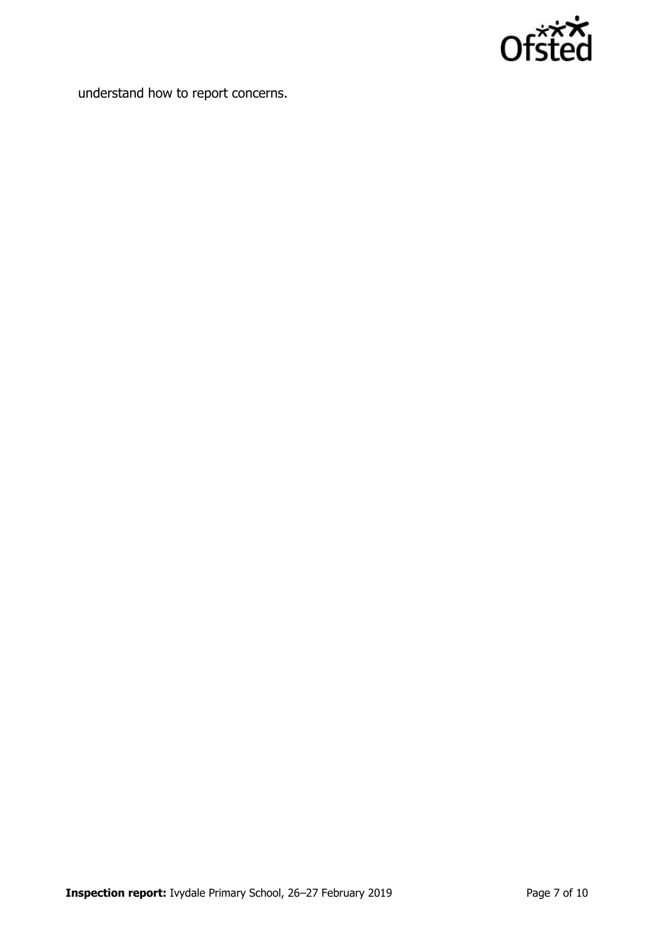

understand how to report concerns.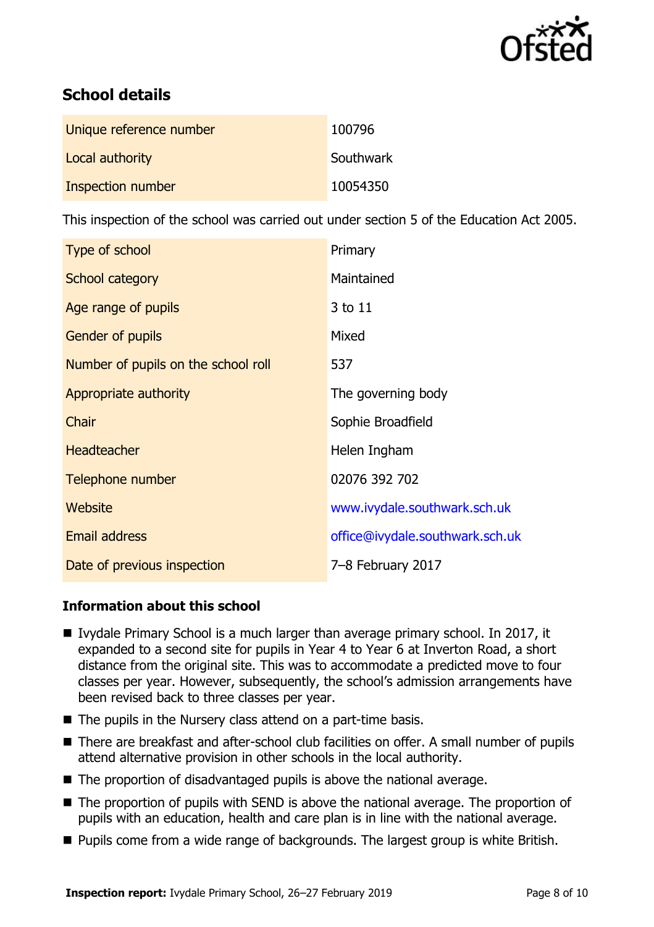

# **School details**

| Unique reference number | 100796    |
|-------------------------|-----------|
| Local authority         | Southwark |
| Inspection number       | 10054350  |

This inspection of the school was carried out under section 5 of the Education Act 2005.

| Type of school                      | Primary                         |
|-------------------------------------|---------------------------------|
| School category                     | Maintained                      |
| Age range of pupils                 | 3 to 11                         |
| <b>Gender of pupils</b>             | Mixed                           |
| Number of pupils on the school roll | 537                             |
| Appropriate authority               | The governing body              |
| Chair                               | Sophie Broadfield               |
| <b>Headteacher</b>                  | Helen Ingham                    |
| Telephone number                    | 02076 392 702                   |
| Website                             | www.ivydale.southwark.sch.uk    |
| Email address                       | office@ivydale.southwark.sch.uk |
| Date of previous inspection         | 7-8 February 2017               |

### **Information about this school**

- Ivydale Primary School is a much larger than average primary school. In 2017, it expanded to a second site for pupils in Year 4 to Year 6 at Inverton Road, a short distance from the original site. This was to accommodate a predicted move to four classes per year. However, subsequently, the school's admission arrangements have been revised back to three classes per year.
- The pupils in the Nursery class attend on a part-time basis.
- There are breakfast and after-school club facilities on offer. A small number of pupils attend alternative provision in other schools in the local authority.
- $\blacksquare$  The proportion of disadvantaged pupils is above the national average.
- The proportion of pupils with SEND is above the national average. The proportion of pupils with an education, health and care plan is in line with the national average.
- **Pupils come from a wide range of backgrounds. The largest group is white British.**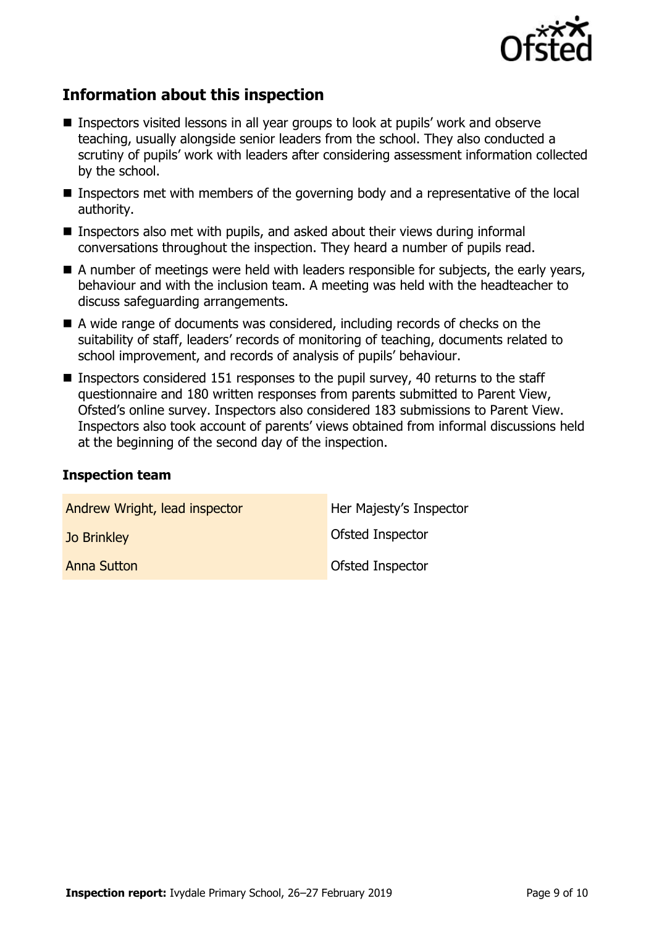

# **Information about this inspection**

- Inspectors visited lessons in all year groups to look at pupils' work and observe teaching, usually alongside senior leaders from the school. They also conducted a scrutiny of pupils' work with leaders after considering assessment information collected by the school.
- Inspectors met with members of the governing body and a representative of the local authority.
- Inspectors also met with pupils, and asked about their views during informal conversations throughout the inspection. They heard a number of pupils read.
- A number of meetings were held with leaders responsible for subjects, the early years, behaviour and with the inclusion team. A meeting was held with the headteacher to discuss safeguarding arrangements.
- A wide range of documents was considered, including records of checks on the suitability of staff, leaders' records of monitoring of teaching, documents related to school improvement, and records of analysis of pupils' behaviour.
- **Inspectors considered 151 responses to the pupil survey, 40 returns to the staff** questionnaire and 180 written responses from parents submitted to Parent View, Ofsted's online survey. Inspectors also considered 183 submissions to Parent View. Inspectors also took account of parents' views obtained from informal discussions held at the beginning of the second day of the inspection.

#### **Inspection team**

| Andrew Wright, lead inspector | Her Majesty's Inspector |
|-------------------------------|-------------------------|
| <b>Jo Brinkley</b>            | Ofsted Inspector        |
| <b>Anna Sutton</b>            | Ofsted Inspector        |